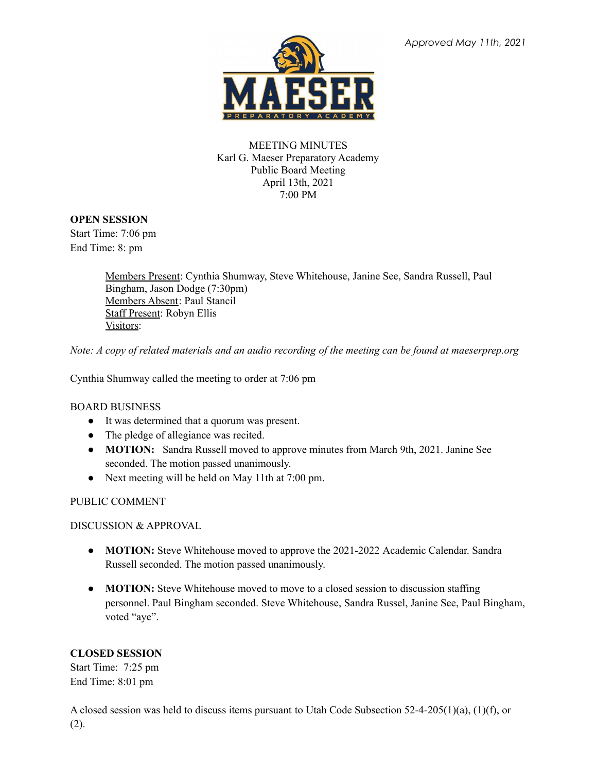

## MEETING MINUTES Karl G. Maeser Preparatory Academy Public Board Meeting April 13th, 2021 7:00 PM

# **OPEN SESSION**

Start Time: 7:06 pm End Time: 8: pm

> Members Present: Cynthia Shumway, Steve Whitehouse, Janine See, Sandra Russell, Paul Bingham, Jason Dodge (7:30pm) Members Absent: Paul Stancil Staff Present: Robyn Ellis Visitors:

Note: A copy of related materials and an audio recording of the meeting can be found at maeserprep.org

Cynthia Shumway called the meeting to order at 7:06 pm

#### BOARD BUSINESS

- It was determined that a quorum was present.
- The pledge of allegiance was recited.
- **MOTION:** Sandra Russell moved to approve minutes from March 9th, 2021. Janine See seconded. The motion passed unanimously.
- Next meeting will be held on May 11th at 7:00 pm.

### PUBLIC COMMENT

DISCUSSION & APPROVAL

- **MOTION:** Steve Whitehouse moved to approve the 2021-2022 Academic Calendar. Sandra Russell seconded. The motion passed unanimously.
- **● MOTION:** Steve Whitehouse moved to move to a closed session to discussion staffing personnel. Paul Bingham seconded. Steve Whitehouse, Sandra Russel, Janine See, Paul Bingham, voted "aye".

#### **CLOSED SESSION**

Start Time: 7:25 pm End Time: 8:01 pm

A closed session was held to discuss items pursuant to Utah Code Subsection 52-4-205(1)(a), (1)(f), or (2).